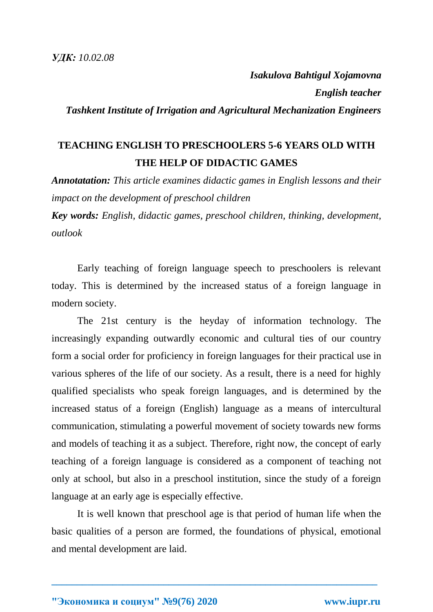*Isakulova Bahtigul Xojamovna English teacher Tashkent Institute of Irrigation and Agricultural Mechanization Engineers*

## **TEACHING ENGLISH TO PRESCHOOLERS 5-6 YEARS OLD WITH THE HELP OF DIDACTIC GAMES**

*Annotatation: This article examines didactic games in English lessons and their impact on the development of preschool children*

*Key words: English, didactic games, preschool children, thinking, development, outlook*

Early teaching of foreign language speech to preschoolers is relevant today. This is determined by the increased status of a foreign language in modern society.

The 21st century is the heyday of information technology. The increasingly expanding outwardly economic and cultural ties of our country form a social order for proficiency in foreign languages for their practical use in various spheres of the life of our society. As a result, there is a need for highly qualified specialists who speak foreign languages, and is determined by the increased status of a foreign (English) language as a means of intercultural communication, stimulating a powerful movement of society towards new forms and models of teaching it as a subject. Therefore, right now, the concept of early teaching of a foreign language is considered as a component of teaching not only at school, but also in a preschool institution, since the study of a foreign language at an early age is especially effective.

It is well known that preschool age is that period of human life when the basic qualities of a person are formed, the foundations of physical, emotional and mental development are laid.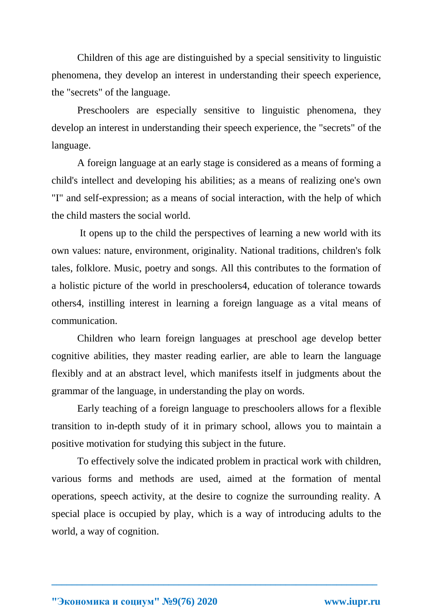Children of this age are distinguished by a special sensitivity to linguistic phenomena, they develop an interest in understanding their speech experience, the "secrets" of the language.

Preschoolers are especially sensitive to linguistic phenomena, they develop an interest in understanding their speech experience, the "secrets" of the language.

A foreign language at an early stage is considered as a means of forming a child's intellect and developing his abilities; as a means of realizing one's own "I" and self-expression; as a means of social interaction, with the help of which the child masters the social world.

It opens up to the child the perspectives of learning a new world with its own values: nature, environment, originality. National traditions, children's folk tales, folklore. Music, poetry and songs. All this contributes to the formation of a holistic picture of the world in preschoolers4, education of tolerance towards others4, instilling interest in learning a foreign language as a vital means of communication.

Children who learn foreign languages at preschool age develop better cognitive abilities, they master reading earlier, are able to learn the language flexibly and at an abstract level, which manifests itself in judgments about the grammar of the language, in understanding the play on words.

Early teaching of a foreign language to preschoolers allows for a flexible transition to in-depth study of it in primary school, allows you to maintain a positive motivation for studying this subject in the future.

To effectively solve the indicated problem in practical work with children, various forms and methods are used, aimed at the formation of mental operations, speech activity, at the desire to cognize the surrounding reality. A special place is occupied by play, which is a way of introducing adults to the world, a way of cognition.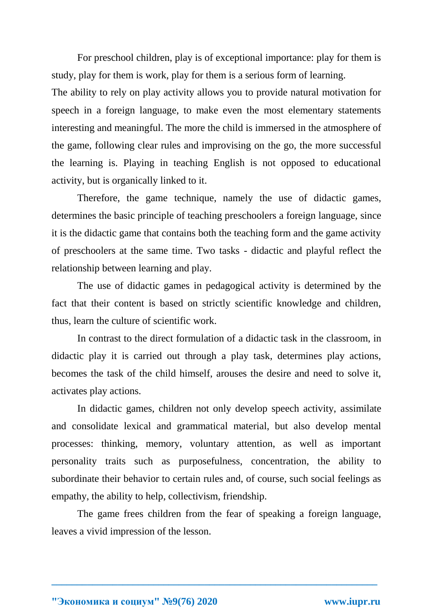For preschool children, play is of exceptional importance: play for them is study, play for them is work, play for them is a serious form of learning.

The ability to rely on play activity allows you to provide natural motivation for speech in a foreign language, to make even the most elementary statements interesting and meaningful. The more the child is immersed in the atmosphere of the game, following clear rules and improvising on the go, the more successful the learning is. Playing in teaching English is not opposed to educational activity, but is organically linked to it.

Therefore, the game technique, namely the use of didactic games, determines the basic principle of teaching preschoolers a foreign language, since it is the didactic game that contains both the teaching form and the game activity of preschoolers at the same time. Two tasks - didactic and playful reflect the relationship between learning and play.

The use of didactic games in pedagogical activity is determined by the fact that their content is based on strictly scientific knowledge and children, thus, learn the culture of scientific work.

In contrast to the direct formulation of a didactic task in the classroom, in didactic play it is carried out through a play task, determines play actions, becomes the task of the child himself, arouses the desire and need to solve it, activates play actions.

In didactic games, children not only develop speech activity, assimilate and consolidate lexical and grammatical material, but also develop mental processes: thinking, memory, voluntary attention, as well as important personality traits such as purposefulness, concentration, the ability to subordinate their behavior to certain rules and, of course, such social feelings as empathy, the ability to help, collectivism, friendship.

The game frees children from the fear of speaking a foreign language, leaves a vivid impression of the lesson.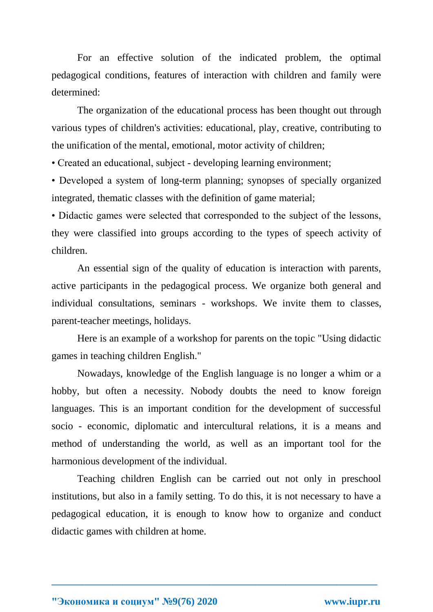For an effective solution of the indicated problem, the optimal pedagogical conditions, features of interaction with children and family were determined:

The organization of the educational process has been thought out through various types of children's activities: educational, play, creative, contributing to the unification of the mental, emotional, motor activity of children;

• Created an educational, subject - developing learning environment;

• Developed a system of long-term planning; synopses of specially organized integrated, thematic classes with the definition of game material;

• Didactic games were selected that corresponded to the subject of the lessons, they were classified into groups according to the types of speech activity of children.

An essential sign of the quality of education is interaction with parents, active participants in the pedagogical process. We organize both general and individual consultations, seminars - workshops. We invite them to classes, parent-teacher meetings, holidays.

Here is an example of a workshop for parents on the topic "Using didactic games in teaching children English."

Nowadays, knowledge of the English language is no longer a whim or a hobby, but often a necessity. Nobody doubts the need to know foreign languages. This is an important condition for the development of successful socio - economic, diplomatic and intercultural relations, it is a means and method of understanding the world, as well as an important tool for the harmonious development of the individual.

Teaching children English can be carried out not only in preschool institutions, but also in a family setting. To do this, it is not necessary to have a pedagogical education, it is enough to know how to organize and conduct didactic games with children at home.